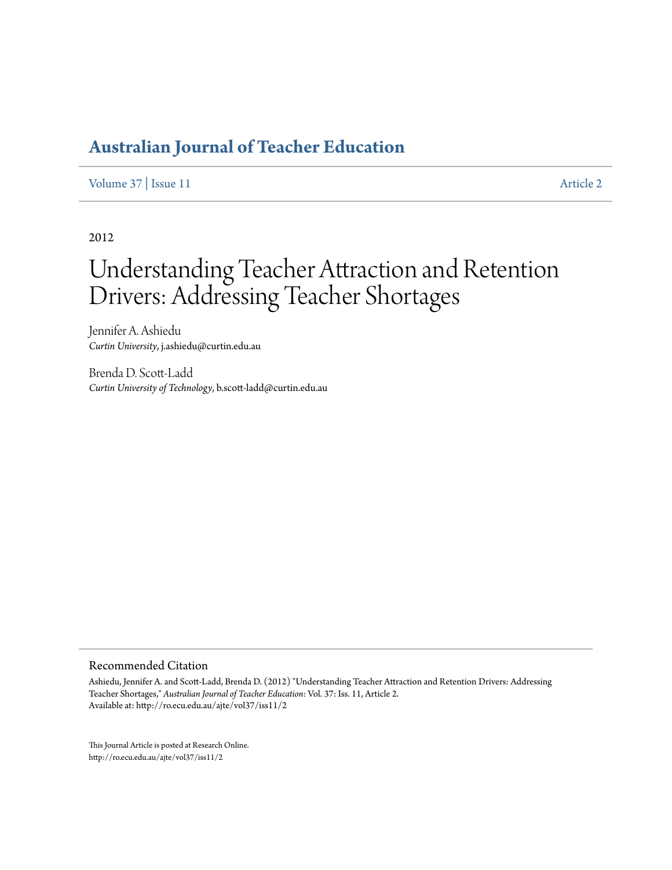## **[Australian Journal of Teacher Education](http://ro.ecu.edu.au/ajte)**

[Volume 37](http://ro.ecu.edu.au/ajte/vol37) | [Issue 11](http://ro.ecu.edu.au/ajte/vol37/iss11) [Article 2](http://ro.ecu.edu.au/ajte/vol37/iss11/2)

2012

# Understanding Teacher Attraction and Retention Drivers: Addressing Teacher Shortages

Jennifer A. Ashiedu *Curtin University*, j.ashiedu@curtin.edu.au

Brenda D. Scott-Ladd *Curtin University of Technology*, b.scott-ladd@curtin.edu.au

#### Recommended Citation

Ashiedu, Jennifer A. and Scott-Ladd, Brenda D. (2012) "Understanding Teacher Attraction and Retention Drivers: Addressing Teacher Shortages," *Australian Journal of Teacher Education*: Vol. 37: Iss. 11, Article 2. Available at: http://ro.ecu.edu.au/ajte/vol37/iss11/2

This Journal Article is posted at Research Online. http://ro.ecu.edu.au/ajte/vol37/iss11/2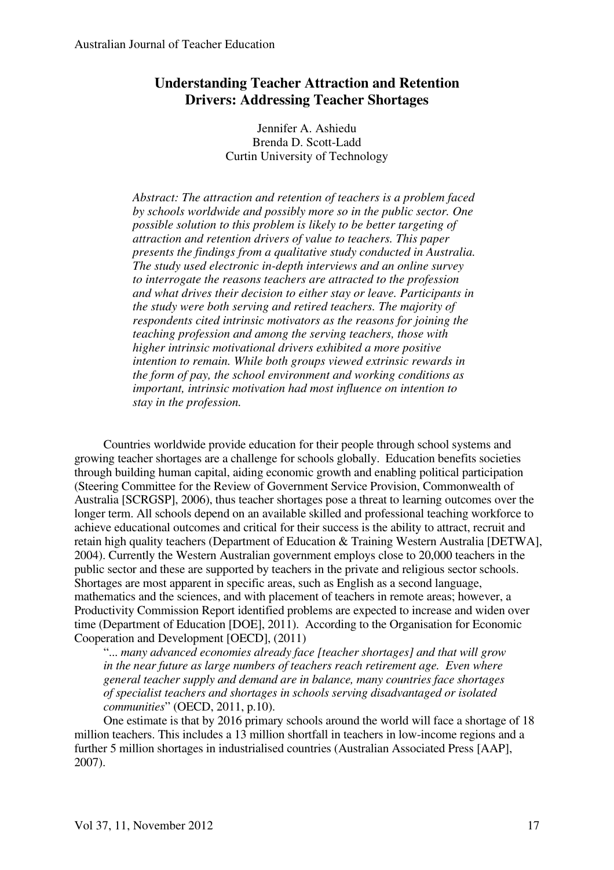## **Understanding Teacher Attraction and Retention Drivers: Addressing Teacher Shortages**

Jennifer A. Ashiedu Brenda D. Scott-Ladd Curtin University of Technology

*Abstract: The attraction and retention of teachers is a problem faced by schools worldwide and possibly more so in the public sector. One possible solution to this problem is likely to be better targeting of attraction and retention drivers of value to teachers. This paper presents the findings from a qualitative study conducted in Australia. The study used electronic in-depth interviews and an online survey to interrogate the reasons teachers are attracted to the profession and what drives their decision to either stay or leave. Participants in the study were both serving and retired teachers. The majority of respondents cited intrinsic motivators as the reasons for joining the teaching profession and among the serving teachers, those with higher intrinsic motivational drivers exhibited a more positive intention to remain. While both groups viewed extrinsic rewards in the form of pay, the school environment and working conditions as important, intrinsic motivation had most influence on intention to stay in the profession.* 

Countries worldwide provide education for their people through school systems and growing teacher shortages are a challenge for schools globally. Education benefits societies through building human capital, aiding economic growth and enabling political participation (Steering Committee for the Review of Government Service Provision, Commonwealth of Australia [SCRGSP], 2006), thus teacher shortages pose a threat to learning outcomes over the longer term. All schools depend on an available skilled and professional teaching workforce to achieve educational outcomes and critical for their success is the ability to attract, recruit and retain high quality teachers (Department of Education & Training Western Australia [DETWA], 2004). Currently the Western Australian government employs close to 20,000 teachers in the public sector and these are supported by teachers in the private and religious sector schools. Shortages are most apparent in specific areas, such as English as a second language, mathematics and the sciences, and with placement of teachers in remote areas; however, a Productivity Commission Report identified problems are expected to increase and widen over time (Department of Education [DOE], 2011). According to the Organisation for Economic Cooperation and Development [OECD], (2011)

"... *many advanced economies already face [teacher shortages] and that will grow in the near future as large numbers of teachers reach retirement age. Even where general teacher supply and demand are in balance, many countries face shortages of specialist teachers and shortages in schools serving disadvantaged or isolated communities*" (OECD, 2011, p.10).

One estimate is that by 2016 primary schools around the world will face a shortage of 18 million teachers. This includes a 13 million shortfall in teachers in low-income regions and a further 5 million shortages in industrialised countries (Australian Associated Press [AAP], 2007).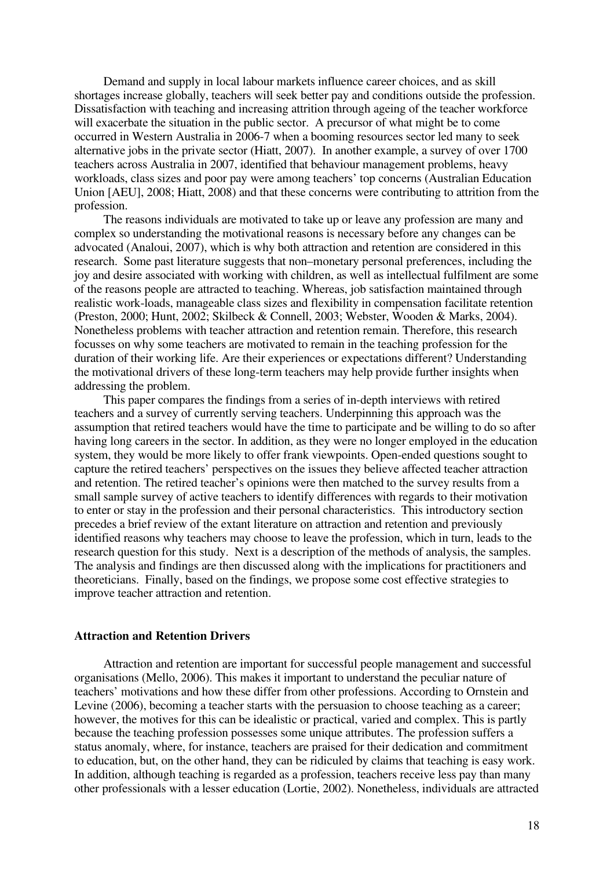Demand and supply in local labour markets influence career choices, and as skill shortages increase globally, teachers will seek better pay and conditions outside the profession. Dissatisfaction with teaching and increasing attrition through ageing of the teacher workforce will exacerbate the situation in the public sector. A precursor of what might be to come occurred in Western Australia in 2006-7 when a booming resources sector led many to seek alternative jobs in the private sector (Hiatt, 2007). In another example, a survey of over 1700 teachers across Australia in 2007, identified that behaviour management problems, heavy workloads, class sizes and poor pay were among teachers' top concerns (Australian Education Union [AEU], 2008; Hiatt, 2008) and that these concerns were contributing to attrition from the profession.

The reasons individuals are motivated to take up or leave any profession are many and complex so understanding the motivational reasons is necessary before any changes can be advocated (Analoui, 2007), which is why both attraction and retention are considered in this research. Some past literature suggests that non–monetary personal preferences, including the joy and desire associated with working with children, as well as intellectual fulfilment are some of the reasons people are attracted to teaching. Whereas, job satisfaction maintained through realistic work-loads, manageable class sizes and flexibility in compensation facilitate retention (Preston, 2000; Hunt, 2002; Skilbeck & Connell, 2003; Webster, Wooden & Marks, 2004). Nonetheless problems with teacher attraction and retention remain. Therefore, this research focusses on why some teachers are motivated to remain in the teaching profession for the duration of their working life. Are their experiences or expectations different? Understanding the motivational drivers of these long-term teachers may help provide further insights when addressing the problem.

This paper compares the findings from a series of in-depth interviews with retired teachers and a survey of currently serving teachers. Underpinning this approach was the assumption that retired teachers would have the time to participate and be willing to do so after having long careers in the sector. In addition, as they were no longer employed in the education system, they would be more likely to offer frank viewpoints. Open-ended questions sought to capture the retired teachers' perspectives on the issues they believe affected teacher attraction and retention. The retired teacher's opinions were then matched to the survey results from a small sample survey of active teachers to identify differences with regards to their motivation to enter or stay in the profession and their personal characteristics. This introductory section precedes a brief review of the extant literature on attraction and retention and previously identified reasons why teachers may choose to leave the profession, which in turn, leads to the research question for this study. Next is a description of the methods of analysis, the samples. The analysis and findings are then discussed along with the implications for practitioners and theoreticians. Finally, based on the findings, we propose some cost effective strategies to improve teacher attraction and retention.

## **Attraction and Retention Drivers**

Attraction and retention are important for successful people management and successful organisations (Mello, 2006). This makes it important to understand the peculiar nature of teachers' motivations and how these differ from other professions. According to Ornstein and Levine (2006), becoming a teacher starts with the persuasion to choose teaching as a career; however, the motives for this can be idealistic or practical, varied and complex. This is partly because the teaching profession possesses some unique attributes. The profession suffers a status anomaly, where, for instance, teachers are praised for their dedication and commitment to education, but, on the other hand, they can be ridiculed by claims that teaching is easy work. In addition, although teaching is regarded as a profession, teachers receive less pay than many other professionals with a lesser education (Lortie, 2002). Nonetheless, individuals are attracted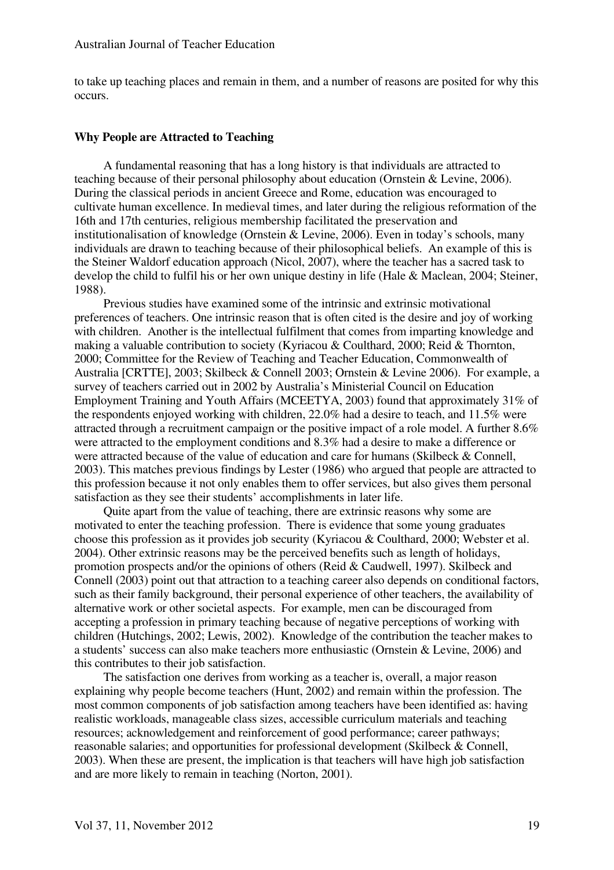to take up teaching places and remain in them, and a number of reasons are posited for why this occurs.

## **Why People are Attracted to Teaching**

A fundamental reasoning that has a long history is that individuals are attracted to teaching because of their personal philosophy about education (Ornstein & Levine, 2006). During the classical periods in ancient Greece and Rome, education was encouraged to cultivate human excellence. In medieval times, and later during the religious reformation of the 16th and 17th centuries, religious membership facilitated the preservation and institutionalisation of knowledge (Ornstein & Levine, 2006). Even in today's schools, many individuals are drawn to teaching because of their philosophical beliefs. An example of this is the Steiner Waldorf education approach (Nicol, 2007), where the teacher has a sacred task to develop the child to fulfil his or her own unique destiny in life (Hale & Maclean, 2004; Steiner, 1988).

Previous studies have examined some of the intrinsic and extrinsic motivational preferences of teachers. One intrinsic reason that is often cited is the desire and joy of working with children. Another is the intellectual fulfilment that comes from imparting knowledge and making a valuable contribution to society (Kyriacou & Coulthard, 2000; Reid & Thornton, 2000; Committee for the Review of Teaching and Teacher Education, Commonwealth of Australia [CRTTE], 2003; Skilbeck & Connell 2003; Ornstein & Levine 2006). For example, a survey of teachers carried out in 2002 by Australia's Ministerial Council on Education Employment Training and Youth Affairs (MCEETYA, 2003) found that approximately 31% of the respondents enjoyed working with children, 22.0% had a desire to teach, and 11.5% were attracted through a recruitment campaign or the positive impact of a role model. A further 8.6% were attracted to the employment conditions and 8.3% had a desire to make a difference or were attracted because of the value of education and care for humans (Skilbeck & Connell, 2003). This matches previous findings by Lester (1986) who argued that people are attracted to this profession because it not only enables them to offer services, but also gives them personal satisfaction as they see their students' accomplishments in later life.

Quite apart from the value of teaching, there are extrinsic reasons why some are motivated to enter the teaching profession. There is evidence that some young graduates choose this profession as it provides job security (Kyriacou & Coulthard, 2000; Webster et al. 2004). Other extrinsic reasons may be the perceived benefits such as length of holidays, promotion prospects and/or the opinions of others (Reid & Caudwell, 1997). Skilbeck and Connell (2003) point out that attraction to a teaching career also depends on conditional factors, such as their family background, their personal experience of other teachers, the availability of alternative work or other societal aspects. For example, men can be discouraged from accepting a profession in primary teaching because of negative perceptions of working with children (Hutchings, 2002; Lewis, 2002). Knowledge of the contribution the teacher makes to a students' success can also make teachers more enthusiastic (Ornstein & Levine, 2006) and this contributes to their job satisfaction.

The satisfaction one derives from working as a teacher is, overall, a major reason explaining why people become teachers (Hunt, 2002) and remain within the profession. The most common components of job satisfaction among teachers have been identified as: having realistic workloads, manageable class sizes, accessible curriculum materials and teaching resources; acknowledgement and reinforcement of good performance; career pathways; reasonable salaries; and opportunities for professional development (Skilbeck & Connell, 2003). When these are present, the implication is that teachers will have high job satisfaction and are more likely to remain in teaching (Norton, 2001).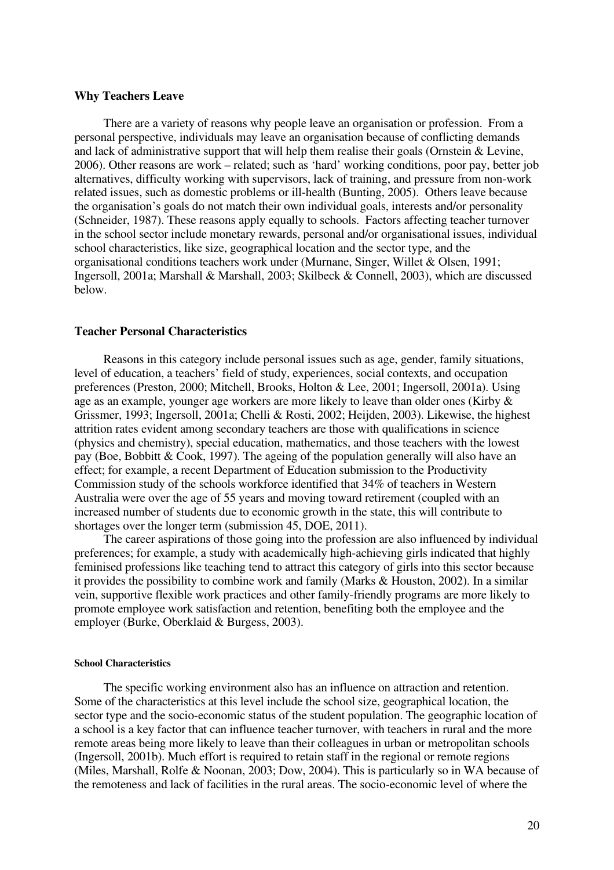## **Why Teachers Leave**

There are a variety of reasons why people leave an organisation or profession. From a personal perspective, individuals may leave an organisation because of conflicting demands and lack of administrative support that will help them realise their goals (Ornstein & Levine, 2006). Other reasons are work – related; such as 'hard' working conditions, poor pay, better job alternatives, difficulty working with supervisors, lack of training, and pressure from non-work related issues, such as domestic problems or ill-health (Bunting, 2005). Others leave because the organisation's goals do not match their own individual goals, interests and/or personality (Schneider, 1987). These reasons apply equally to schools. Factors affecting teacher turnover in the school sector include monetary rewards, personal and/or organisational issues, individual school characteristics, like size, geographical location and the sector type, and the organisational conditions teachers work under (Murnane, Singer, Willet & Olsen, 1991; Ingersoll, 2001a; Marshall & Marshall, 2003; Skilbeck & Connell, 2003), which are discussed below.

### **Teacher Personal Characteristics**

Reasons in this category include personal issues such as age, gender, family situations, level of education, a teachers' field of study, experiences, social contexts, and occupation preferences (Preston, 2000; Mitchell, Brooks, Holton & Lee, 2001; Ingersoll, 2001a). Using age as an example, younger age workers are more likely to leave than older ones (Kirby & Grissmer, 1993; Ingersoll, 2001a; Chelli & Rosti, 2002; Heijden, 2003). Likewise, the highest attrition rates evident among secondary teachers are those with qualifications in science (physics and chemistry), special education, mathematics, and those teachers with the lowest pay (Boe, Bobbitt & Cook, 1997). The ageing of the population generally will also have an effect; for example, a recent Department of Education submission to the Productivity Commission study of the schools workforce identified that 34% of teachers in Western Australia were over the age of 55 years and moving toward retirement (coupled with an increased number of students due to economic growth in the state, this will contribute to shortages over the longer term (submission 45, DOE, 2011).

The career aspirations of those going into the profession are also influenced by individual preferences; for example, a study with academically high-achieving girls indicated that highly feminised professions like teaching tend to attract this category of girls into this sector because it provides the possibility to combine work and family (Marks & Houston, 2002). In a similar vein, supportive flexible work practices and other family-friendly programs are more likely to promote employee work satisfaction and retention, benefiting both the employee and the employer (Burke, Oberklaid & Burgess, 2003).

## **School Characteristics**

The specific working environment also has an influence on attraction and retention. Some of the characteristics at this level include the school size, geographical location, the sector type and the socio-economic status of the student population. The geographic location of a school is a key factor that can influence teacher turnover, with teachers in rural and the more remote areas being more likely to leave than their colleagues in urban or metropolitan schools (Ingersoll, 2001b). Much effort is required to retain staff in the regional or remote regions (Miles, Marshall, Rolfe & Noonan, 2003; Dow, 2004). This is particularly so in WA because of the remoteness and lack of facilities in the rural areas. The socio-economic level of where the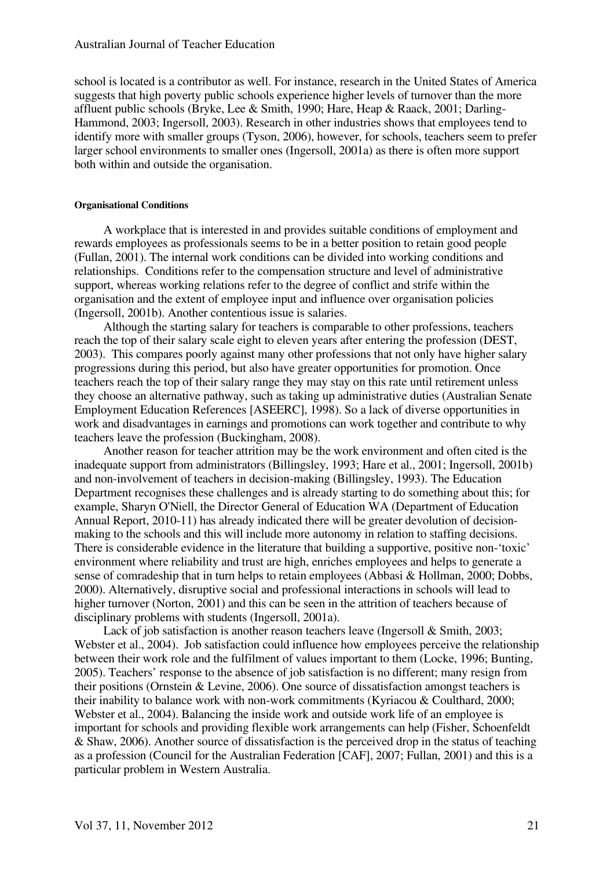school is located is a contributor as well. For instance, research in the United States of America suggests that high poverty public schools experience higher levels of turnover than the more affluent public schools (Bryke, Lee & Smith, 1990; Hare, Heap & Raack, 2001; Darling-Hammond, 2003; Ingersoll, 2003). Research in other industries shows that employees tend to identify more with smaller groups (Tyson, 2006), however, for schools, teachers seem to prefer larger school environments to smaller ones (Ingersoll, 2001a) as there is often more support both within and outside the organisation.

### **Organisational Conditions**

A workplace that is interested in and provides suitable conditions of employment and rewards employees as professionals seems to be in a better position to retain good people (Fullan, 2001). The internal work conditions can be divided into working conditions and relationships. Conditions refer to the compensation structure and level of administrative support, whereas working relations refer to the degree of conflict and strife within the organisation and the extent of employee input and influence over organisation policies (Ingersoll, 2001b). Another contentious issue is salaries.

Although the starting salary for teachers is comparable to other professions, teachers reach the top of their salary scale eight to eleven years after entering the profession (DEST, 2003). This compares poorly against many other professions that not only have higher salary progressions during this period, but also have greater opportunities for promotion. Once teachers reach the top of their salary range they may stay on this rate until retirement unless they choose an alternative pathway, such as taking up administrative duties (Australian Senate Employment Education References [ASEERC], 1998). So a lack of diverse opportunities in work and disadvantages in earnings and promotions can work together and contribute to why teachers leave the profession (Buckingham, 2008).

Another reason for teacher attrition may be the work environment and often cited is the inadequate support from administrators (Billingsley, 1993; Hare et al., 2001; Ingersoll, 2001b) and non-involvement of teachers in decision-making (Billingsley, 1993). The Education Department recognises these challenges and is already starting to do something about this; for example, Sharyn O'Niell, the Director General of Education WA (Department of Education Annual Report, 2010-11) has already indicated there will be greater devolution of decisionmaking to the schools and this will include more autonomy in relation to staffing decisions. There is considerable evidence in the literature that building a supportive, positive non-'toxic' environment where reliability and trust are high, enriches employees and helps to generate a sense of comradeship that in turn helps to retain employees (Abbasi & Hollman, 2000; Dobbs, 2000). Alternatively, disruptive social and professional interactions in schools will lead to higher turnover (Norton, 2001) and this can be seen in the attrition of teachers because of disciplinary problems with students (Ingersoll, 2001a).

Lack of job satisfaction is another reason teachers leave (Ingersoll & Smith, 2003; Webster et al., 2004). Job satisfaction could influence how employees perceive the relationship between their work role and the fulfilment of values important to them (Locke, 1996; Bunting, 2005). Teachers' response to the absence of job satisfaction is no different; many resign from their positions (Ornstein & Levine, 2006). One source of dissatisfaction amongst teachers is their inability to balance work with non-work commitments (Kyriacou & Coulthard, 2000; Webster et al., 2004). Balancing the inside work and outside work life of an employee is important for schools and providing flexible work arrangements can help (Fisher, Schoenfeldt & Shaw, 2006). Another source of dissatisfaction is the perceived drop in the status of teaching as a profession (Council for the Australian Federation [CAF], 2007; Fullan, 2001) and this is a particular problem in Western Australia.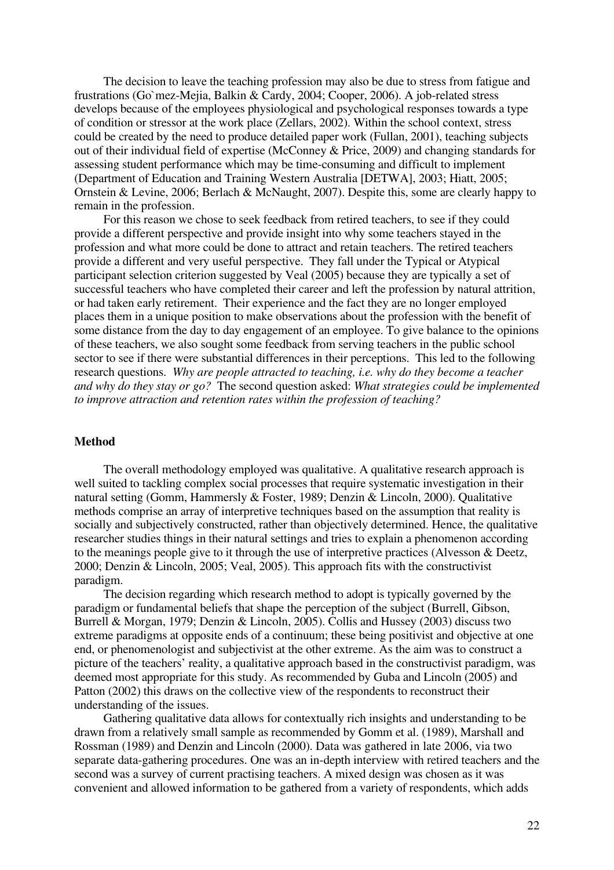The decision to leave the teaching profession may also be due to stress from fatigue and frustrations (Go`mez-Mejia, Balkin & Cardy, 2004; Cooper, 2006). A job-related stress develops because of the employees physiological and psychological responses towards a type of condition or stressor at the work place (Zellars, 2002). Within the school context, stress could be created by the need to produce detailed paper work (Fullan, 2001), teaching subjects out of their individual field of expertise (McConney & Price, 2009) and changing standards for assessing student performance which may be time-consuming and difficult to implement (Department of Education and Training Western Australia [DETWA], 2003; Hiatt, 2005; Ornstein & Levine, 2006; Berlach & McNaught, 2007). Despite this, some are clearly happy to remain in the profession.

For this reason we chose to seek feedback from retired teachers, to see if they could provide a different perspective and provide insight into why some teachers stayed in the profession and what more could be done to attract and retain teachers. The retired teachers provide a different and very useful perspective. They fall under the Typical or Atypical participant selection criterion suggested by Veal (2005) because they are typically a set of successful teachers who have completed their career and left the profession by natural attrition, or had taken early retirement. Their experience and the fact they are no longer employed places them in a unique position to make observations about the profession with the benefit of some distance from the day to day engagement of an employee. To give balance to the opinions of these teachers, we also sought some feedback from serving teachers in the public school sector to see if there were substantial differences in their perceptions. This led to the following research questions. *Why are people attracted to teaching, i.e. why do they become a teacher and why do they stay or go?* The second question asked: *What strategies could be implemented to improve attraction and retention rates within the profession of teaching?*

## **Method**

The overall methodology employed was qualitative. A qualitative research approach is well suited to tackling complex social processes that require systematic investigation in their natural setting (Gomm, Hammersly & Foster, 1989; Denzin & Lincoln, 2000). Qualitative methods comprise an array of interpretive techniques based on the assumption that reality is socially and subjectively constructed, rather than objectively determined. Hence, the qualitative researcher studies things in their natural settings and tries to explain a phenomenon according to the meanings people give to it through the use of interpretive practices (Alvesson & Deetz, 2000; Denzin & Lincoln, 2005; Veal, 2005). This approach fits with the constructivist paradigm.

The decision regarding which research method to adopt is typically governed by the paradigm or fundamental beliefs that shape the perception of the subject (Burrell, Gibson, Burrell & Morgan, 1979; Denzin & Lincoln, 2005). Collis and Hussey (2003) discuss two extreme paradigms at opposite ends of a continuum; these being positivist and objective at one end, or phenomenologist and subjectivist at the other extreme. As the aim was to construct a picture of the teachers' reality, a qualitative approach based in the constructivist paradigm, was deemed most appropriate for this study. As recommended by Guba and Lincoln (2005) and Patton (2002) this draws on the collective view of the respondents to reconstruct their understanding of the issues.

Gathering qualitative data allows for contextually rich insights and understanding to be drawn from a relatively small sample as recommended by Gomm et al. (1989), Marshall and Rossman (1989) and Denzin and Lincoln (2000). Data was gathered in late 2006, via two separate data-gathering procedures. One was an in-depth interview with retired teachers and the second was a survey of current practising teachers. A mixed design was chosen as it was convenient and allowed information to be gathered from a variety of respondents, which adds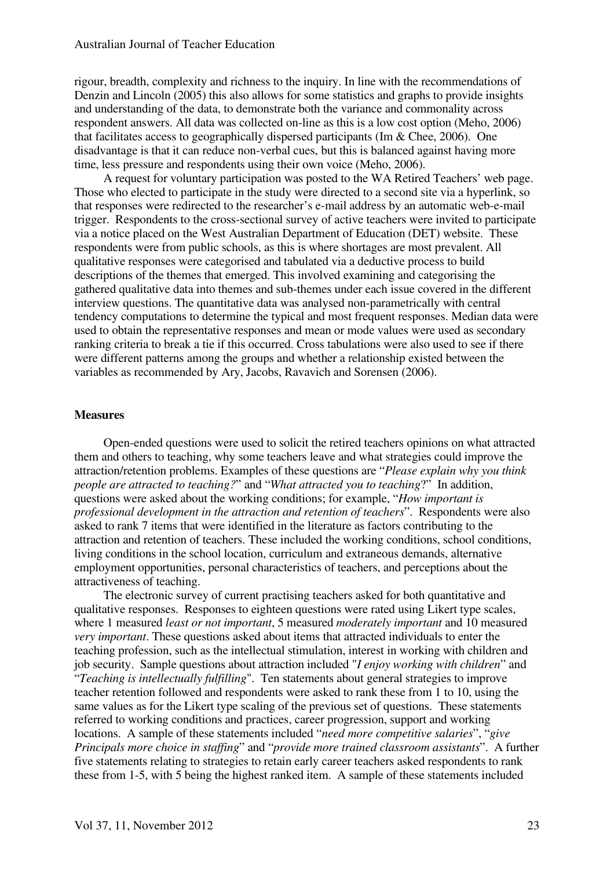rigour, breadth, complexity and richness to the inquiry. In line with the recommendations of Denzin and Lincoln (2005) this also allows for some statistics and graphs to provide insights and understanding of the data, to demonstrate both the variance and commonality across respondent answers. All data was collected on-line as this is a low cost option (Meho, 2006) that facilitates access to geographically dispersed participants (Im  $&$  Chee, 2006). One disadvantage is that it can reduce non-verbal cues, but this is balanced against having more time, less pressure and respondents using their own voice (Meho, 2006).

A request for voluntary participation was posted to the WA Retired Teachers' web page. Those who elected to participate in the study were directed to a second site via a hyperlink, so that responses were redirected to the researcher's e-mail address by an automatic web-e-mail trigger. Respondents to the cross-sectional survey of active teachers were invited to participate via a notice placed on the West Australian Department of Education (DET) website. These respondents were from public schools, as this is where shortages are most prevalent. All qualitative responses were categorised and tabulated via a deductive process to build descriptions of the themes that emerged. This involved examining and categorising the gathered qualitative data into themes and sub-themes under each issue covered in the different interview questions. The quantitative data was analysed non-parametrically with central tendency computations to determine the typical and most frequent responses. Median data were used to obtain the representative responses and mean or mode values were used as secondary ranking criteria to break a tie if this occurred. Cross tabulations were also used to see if there were different patterns among the groups and whether a relationship existed between the variables as recommended by Ary, Jacobs, Ravavich and Sorensen (2006).

## **Measures**

Open-ended questions were used to solicit the retired teachers opinions on what attracted them and others to teaching, why some teachers leave and what strategies could improve the attraction/retention problems. Examples of these questions are "*Please explain why you think people are attracted to teaching?*" and "*What attracted you to teaching*?" In addition, questions were asked about the working conditions; for example, "*How important is professional development in the attraction and retention of teachers*". Respondents were also asked to rank 7 items that were identified in the literature as factors contributing to the attraction and retention of teachers. These included the working conditions, school conditions, living conditions in the school location, curriculum and extraneous demands, alternative employment opportunities, personal characteristics of teachers, and perceptions about the attractiveness of teaching.

The electronic survey of current practising teachers asked for both quantitative and qualitative responses. Responses to eighteen questions were rated using Likert type scales, where 1 measured *least or not important*, 5 measured *moderately important* and 10 measured *very important*. These questions asked about items that attracted individuals to enter the teaching profession, such as the intellectual stimulation, interest in working with children and job security. Sample questions about attraction included "*I enjoy working with children*" and "*Teaching is intellectually fulfilling*". Ten statements about general strategies to improve teacher retention followed and respondents were asked to rank these from 1 to 10, using the same values as for the Likert type scaling of the previous set of questions. These statements referred to working conditions and practices, career progression, support and working locations. A sample of these statements included "*need more competitive salaries*", "*give Principals more choice in staffing*" and "*provide more trained classroom assistants*". A further five statements relating to strategies to retain early career teachers asked respondents to rank these from 1-5, with 5 being the highest ranked item. A sample of these statements included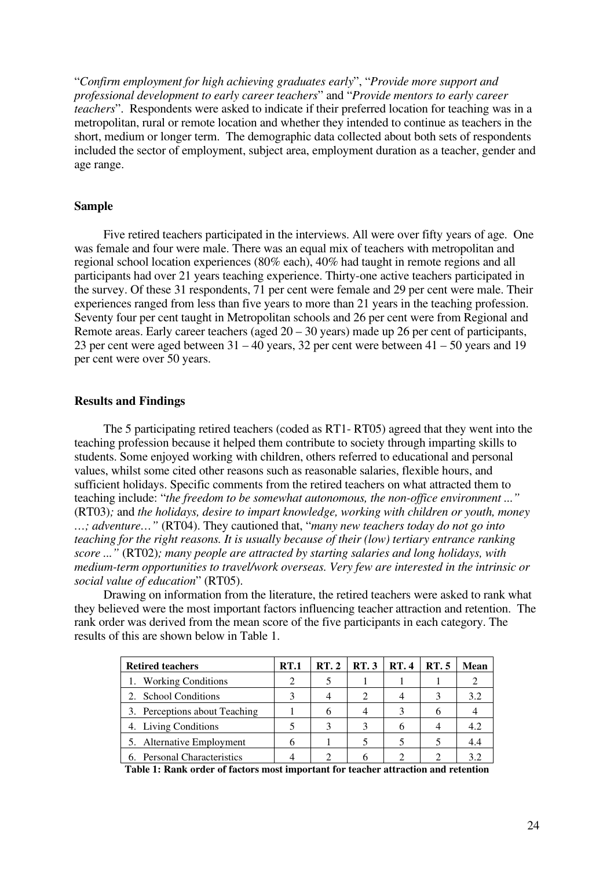"*Confirm employment for high achieving graduates early*", "*Provide more support and professional development to early career teachers*" and "*Provide mentors to early career teachers*". Respondents were asked to indicate if their preferred location for teaching was in a metropolitan, rural or remote location and whether they intended to continue as teachers in the short, medium or longer term. The demographic data collected about both sets of respondents included the sector of employment, subject area, employment duration as a teacher, gender and age range.

## **Sample**

Five retired teachers participated in the interviews. All were over fifty years of age. One was female and four were male. There was an equal mix of teachers with metropolitan and regional school location experiences (80% each), 40% had taught in remote regions and all participants had over 21 years teaching experience. Thirty-one active teachers participated in the survey. Of these 31 respondents, 71 per cent were female and 29 per cent were male. Their experiences ranged from less than five years to more than 21 years in the teaching profession. Seventy four per cent taught in Metropolitan schools and 26 per cent were from Regional and Remote areas. Early career teachers (aged  $20 - 30$  years) made up 26 per cent of participants, 23 per cent were aged between 31 – 40 years, 32 per cent were between 41 – 50 years and 19 per cent were over 50 years.

## **Results and Findings**

The 5 participating retired teachers (coded as RT1- RT05) agreed that they went into the teaching profession because it helped them contribute to society through imparting skills to students. Some enjoyed working with children, others referred to educational and personal values, whilst some cited other reasons such as reasonable salaries, flexible hours, and sufficient holidays. Specific comments from the retired teachers on what attracted them to teaching include: "*the freedom to be somewhat autonomous, the non-office environment ..."*  (RT03)*;* and *the holidays, desire to impart knowledge, working with children or youth, money …; adventure…"* (RT04). They cautioned that, "*many new teachers today do not go into teaching for the right reasons. It is usually because of their (low) tertiary entrance ranking score ..."* (RT02)*; many people are attracted by starting salaries and long holidays, with medium-term opportunities to travel/work overseas. Very few are interested in the intrinsic or social value of education*" (RT05).

Drawing on information from the literature, the retired teachers were asked to rank what they believed were the most important factors influencing teacher attraction and retention. The rank order was derived from the mean score of the five participants in each category. The results of this are shown below in Table 1.

| <b>Retired teachers</b>       | <b>RT.1</b> | RT.2 | RT.3 | <b>RT.4</b> | <b>RT.5</b> | Mean |
|-------------------------------|-------------|------|------|-------------|-------------|------|
| 1. Working Conditions         |             |      |      |             |             |      |
| 2. School Conditions          |             |      |      |             |             | 3.2  |
| 3. Perceptions about Teaching |             |      |      |             |             |      |
| 4. Living Conditions          |             |      |      |             |             | 4.2  |
| 5. Alternative Employment     |             |      |      |             |             | 4.4  |
| 6. Personal Characteristics   |             |      |      |             |             |      |

**Table 1: Rank order of factors most important for teacher attraction and retention**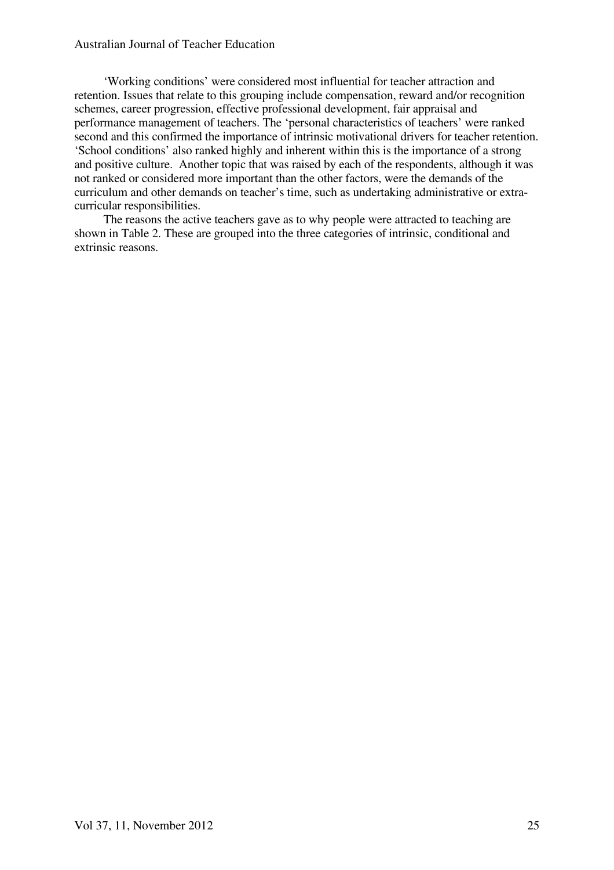## Australian Journal of Teacher Education

'Working conditions' were considered most influential for teacher attraction and retention. Issues that relate to this grouping include compensation, reward and/or recognition schemes, career progression, effective professional development, fair appraisal and performance management of teachers. The 'personal characteristics of teachers' were ranked second and this confirmed the importance of intrinsic motivational drivers for teacher retention. 'School conditions' also ranked highly and inherent within this is the importance of a strong and positive culture. Another topic that was raised by each of the respondents, although it was not ranked or considered more important than the other factors, were the demands of the curriculum and other demands on teacher's time, such as undertaking administrative or extracurricular responsibilities.

The reasons the active teachers gave as to why people were attracted to teaching are shown in Table 2. These are grouped into the three categories of intrinsic, conditional and extrinsic reasons.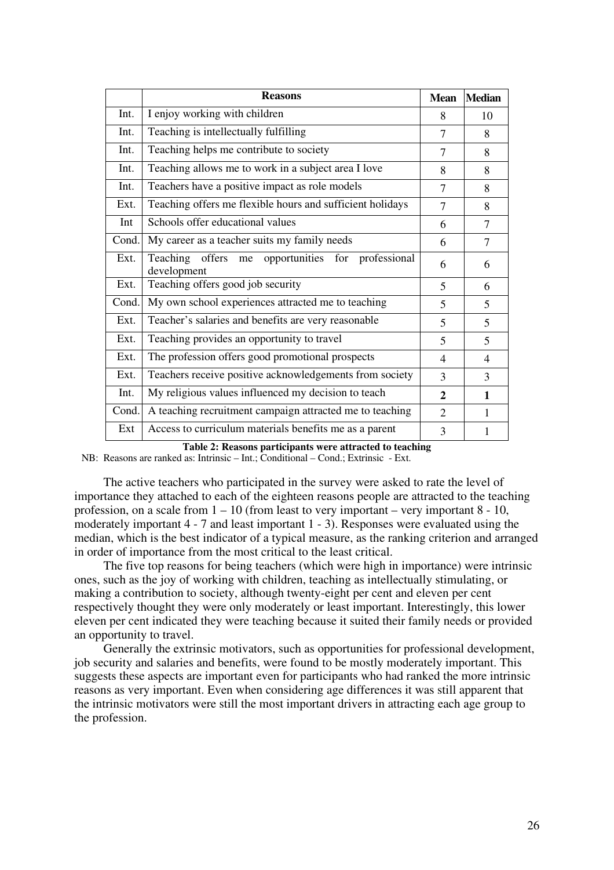|       | <b>Reasons</b>                                                      | <b>Mean</b>    | <b>Median</b>  |
|-------|---------------------------------------------------------------------|----------------|----------------|
| Int.  | I enjoy working with children                                       | 8              | 10             |
| Int.  | Teaching is intellectually fulfilling                               | $\tau$         | 8              |
| Int.  | Teaching helps me contribute to society                             | 7              | 8              |
| Int.  | Teaching allows me to work in a subject area I love                 | 8              | 8              |
| Int.  | Teachers have a positive impact as role models                      | 7              | 8              |
| Ext.  | Teaching offers me flexible hours and sufficient holidays           | 7              | 8              |
| Int   | Schools offer educational values                                    | 6              | $\tau$         |
| Cond. | My career as a teacher suits my family needs                        | 6              | $\overline{7}$ |
| Ext.  | offers me opportunities for professional<br>Teaching<br>development | 6              | 6              |
| Ext.  | Teaching offers good job security                                   | 5              | 6              |
| Cond. | My own school experiences attracted me to teaching                  | 5              | 5              |
| Ext.  | Teacher's salaries and benefits are very reasonable                 | 5              | 5              |
| Ext.  | Teaching provides an opportunity to travel                          | 5              | 5              |
| Ext.  | The profession offers good promotional prospects                    | $\overline{4}$ | $\overline{4}$ |
| Ext.  | Teachers receive positive acknowledgements from society             | 3              | 3              |
| Int.  | My religious values influenced my decision to teach                 | $\mathbf{2}$   | $\mathbf{1}$   |
| Cond. | A teaching recruitment campaign attracted me to teaching            | $\overline{2}$ | 1              |
| Ext   | Access to curriculum materials benefits me as a parent              | 3              | 1              |

**Table 2: Reasons participants were attracted to teaching** 

NB: Reasons are ranked as: Intrinsic – Int.; Conditional – Cond.; Extrinsic - Ext.

The active teachers who participated in the survey were asked to rate the level of importance they attached to each of the eighteen reasons people are attracted to the teaching profession, on a scale from  $1 - 10$  (from least to very important – very important  $8 - 10$ , moderately important 4 - 7 and least important 1 - 3). Responses were evaluated using the median, which is the best indicator of a typical measure, as the ranking criterion and arranged in order of importance from the most critical to the least critical.

The five top reasons for being teachers (which were high in importance) were intrinsic ones, such as the joy of working with children, teaching as intellectually stimulating, or making a contribution to society, although twenty-eight per cent and eleven per cent respectively thought they were only moderately or least important. Interestingly, this lower eleven per cent indicated they were teaching because it suited their family needs or provided an opportunity to travel.

Generally the extrinsic motivators, such as opportunities for professional development, job security and salaries and benefits, were found to be mostly moderately important. This suggests these aspects are important even for participants who had ranked the more intrinsic reasons as very important. Even when considering age differences it was still apparent that the intrinsic motivators were still the most important drivers in attracting each age group to the profession.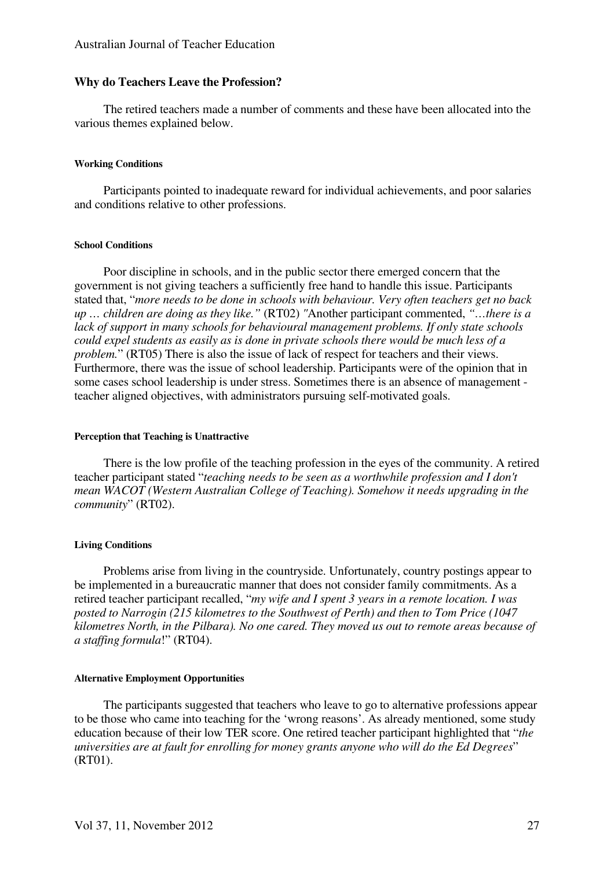## **Why do Teachers Leave the Profession?**

The retired teachers made a number of comments and these have been allocated into the various themes explained below.

## **Working Conditions**

Participants pointed to inadequate reward for individual achievements, and poor salaries and conditions relative to other professions.

## **School Conditions**

Poor discipline in schools, and in the public sector there emerged concern that the government is not giving teachers a sufficiently free hand to handle this issue. Participants stated that, "*more needs to be done in schools with behaviour. Very often teachers get no back up … children are doing as they like."* (RT02) *"*Another participant commented, *"…there is a lack of support in many schools for behavioural management problems. If only state schools could expel students as easily as is done in private schools there would be much less of a problem.*" (RT05) There is also the issue of lack of respect for teachers and their views. Furthermore, there was the issue of school leadership. Participants were of the opinion that in some cases school leadership is under stress. Sometimes there is an absence of management teacher aligned objectives, with administrators pursuing self-motivated goals.

#### **Perception that Teaching is Unattractive**

There is the low profile of the teaching profession in the eyes of the community. A retired teacher participant stated "*teaching needs to be seen as a worthwhile profession and I don't mean WACOT (Western Australian College of Teaching). Somehow it needs upgrading in the community*" (RT02).

## **Living Conditions**

Problems arise from living in the countryside. Unfortunately, country postings appear to be implemented in a bureaucratic manner that does not consider family commitments. As a retired teacher participant recalled, "*my wife and I spent 3 years in a remote location. I was posted to Narrogin (215 kilometres to the Southwest of Perth) and then to Tom Price (1047 kilometres North, in the Pilbara). No one cared. They moved us out to remote areas because of a staffing formula*!" (RT04).

### **Alternative Employment Opportunities**

The participants suggested that teachers who leave to go to alternative professions appear to be those who came into teaching for the 'wrong reasons'. As already mentioned, some study education because of their low TER score. One retired teacher participant highlighted that "*the universities are at fault for enrolling for money grants anyone who will do the Ed Degrees*" (RT01).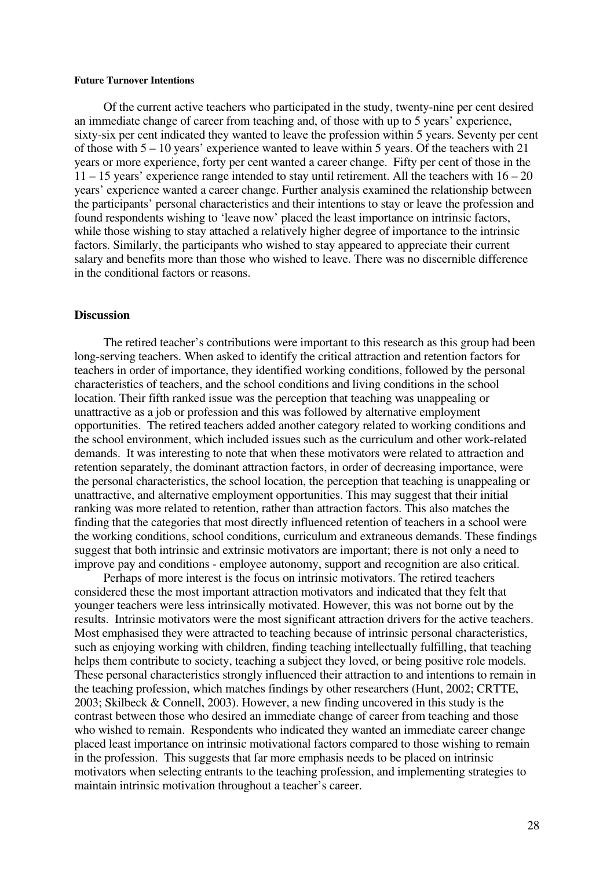#### **Future Turnover Intentions**

Of the current active teachers who participated in the study, twenty-nine per cent desired an immediate change of career from teaching and, of those with up to 5 years' experience, sixty-six per cent indicated they wanted to leave the profession within 5 years. Seventy per cent of those with 5 – 10 years' experience wanted to leave within 5 years. Of the teachers with 21 years or more experience, forty per cent wanted a career change. Fifty per cent of those in the  $11 - 15$  years' experience range intended to stay until retirement. All the teachers with  $16 - 20$ years' experience wanted a career change. Further analysis examined the relationship between the participants' personal characteristics and their intentions to stay or leave the profession and found respondents wishing to 'leave now' placed the least importance on intrinsic factors, while those wishing to stay attached a relatively higher degree of importance to the intrinsic factors. Similarly, the participants who wished to stay appeared to appreciate their current salary and benefits more than those who wished to leave. There was no discernible difference in the conditional factors or reasons.

## **Discussion**

The retired teacher's contributions were important to this research as this group had been long-serving teachers. When asked to identify the critical attraction and retention factors for teachers in order of importance, they identified working conditions, followed by the personal characteristics of teachers, and the school conditions and living conditions in the school location. Their fifth ranked issue was the perception that teaching was unappealing or unattractive as a job or profession and this was followed by alternative employment opportunities. The retired teachers added another category related to working conditions and the school environment, which included issues such as the curriculum and other work-related demands. It was interesting to note that when these motivators were related to attraction and retention separately, the dominant attraction factors, in order of decreasing importance, were the personal characteristics, the school location, the perception that teaching is unappealing or unattractive, and alternative employment opportunities. This may suggest that their initial ranking was more related to retention, rather than attraction factors. This also matches the finding that the categories that most directly influenced retention of teachers in a school were the working conditions, school conditions, curriculum and extraneous demands. These findings suggest that both intrinsic and extrinsic motivators are important; there is not only a need to improve pay and conditions - employee autonomy, support and recognition are also critical.

Perhaps of more interest is the focus on intrinsic motivators. The retired teachers considered these the most important attraction motivators and indicated that they felt that younger teachers were less intrinsically motivated. However, this was not borne out by the results. Intrinsic motivators were the most significant attraction drivers for the active teachers. Most emphasised they were attracted to teaching because of intrinsic personal characteristics, such as enjoying working with children, finding teaching intellectually fulfilling, that teaching helps them contribute to society, teaching a subject they loved, or being positive role models. These personal characteristics strongly influenced their attraction to and intentions to remain in the teaching profession, which matches findings by other researchers (Hunt, 2002; CRTTE, 2003; Skilbeck & Connell, 2003). However, a new finding uncovered in this study is the contrast between those who desired an immediate change of career from teaching and those who wished to remain. Respondents who indicated they wanted an immediate career change placed least importance on intrinsic motivational factors compared to those wishing to remain in the profession. This suggests that far more emphasis needs to be placed on intrinsic motivators when selecting entrants to the teaching profession, and implementing strategies to maintain intrinsic motivation throughout a teacher's career.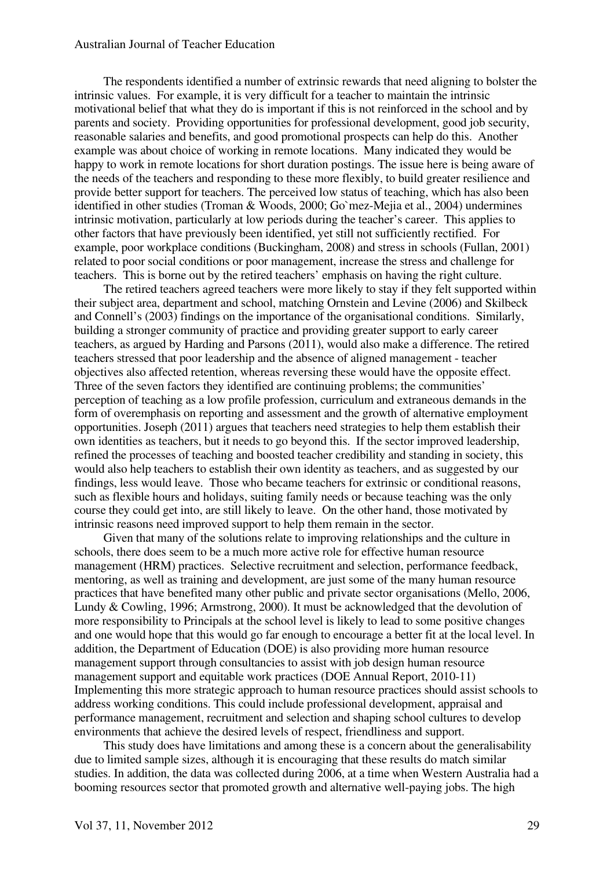## Australian Journal of Teacher Education

The respondents identified a number of extrinsic rewards that need aligning to bolster the intrinsic values. For example, it is very difficult for a teacher to maintain the intrinsic motivational belief that what they do is important if this is not reinforced in the school and by parents and society. Providing opportunities for professional development, good job security, reasonable salaries and benefits, and good promotional prospects can help do this. Another example was about choice of working in remote locations. Many indicated they would be happy to work in remote locations for short duration postings. The issue here is being aware of the needs of the teachers and responding to these more flexibly, to build greater resilience and provide better support for teachers. The perceived low status of teaching, which has also been identified in other studies (Troman & Woods, 2000; Go`mez-Mejia et al., 2004) undermines intrinsic motivation, particularly at low periods during the teacher's career. This applies to other factors that have previously been identified, yet still not sufficiently rectified. For example, poor workplace conditions (Buckingham, 2008) and stress in schools (Fullan, 2001) related to poor social conditions or poor management, increase the stress and challenge for teachers. This is borne out by the retired teachers' emphasis on having the right culture.

The retired teachers agreed teachers were more likely to stay if they felt supported within their subject area, department and school, matching Ornstein and Levine (2006) and Skilbeck and Connell's (2003) findings on the importance of the organisational conditions. Similarly, building a stronger community of practice and providing greater support to early career teachers, as argued by Harding and Parsons (2011), would also make a difference. The retired teachers stressed that poor leadership and the absence of aligned management - teacher objectives also affected retention, whereas reversing these would have the opposite effect. Three of the seven factors they identified are continuing problems; the communities' perception of teaching as a low profile profession, curriculum and extraneous demands in the form of overemphasis on reporting and assessment and the growth of alternative employment opportunities. Joseph (2011) argues that teachers need strategies to help them establish their own identities as teachers, but it needs to go beyond this. If the sector improved leadership, refined the processes of teaching and boosted teacher credibility and standing in society, this would also help teachers to establish their own identity as teachers, and as suggested by our findings, less would leave. Those who became teachers for extrinsic or conditional reasons, such as flexible hours and holidays, suiting family needs or because teaching was the only course they could get into, are still likely to leave. On the other hand, those motivated by intrinsic reasons need improved support to help them remain in the sector.

Given that many of the solutions relate to improving relationships and the culture in schools, there does seem to be a much more active role for effective human resource management (HRM) practices. Selective recruitment and selection, performance feedback, mentoring, as well as training and development, are just some of the many human resource practices that have benefited many other public and private sector organisations (Mello, 2006, Lundy & Cowling, 1996; Armstrong, 2000). It must be acknowledged that the devolution of more responsibility to Principals at the school level is likely to lead to some positive changes and one would hope that this would go far enough to encourage a better fit at the local level. In addition, the Department of Education (DOE) is also providing more human resource management support through consultancies to assist with job design human resource management support and equitable work practices (DOE Annual Report, 2010-11) Implementing this more strategic approach to human resource practices should assist schools to address working conditions. This could include professional development, appraisal and performance management, recruitment and selection and shaping school cultures to develop environments that achieve the desired levels of respect, friendliness and support.

This study does have limitations and among these is a concern about the generalisability due to limited sample sizes, although it is encouraging that these results do match similar studies. In addition, the data was collected during 2006, at a time when Western Australia had a booming resources sector that promoted growth and alternative well-paying jobs. The high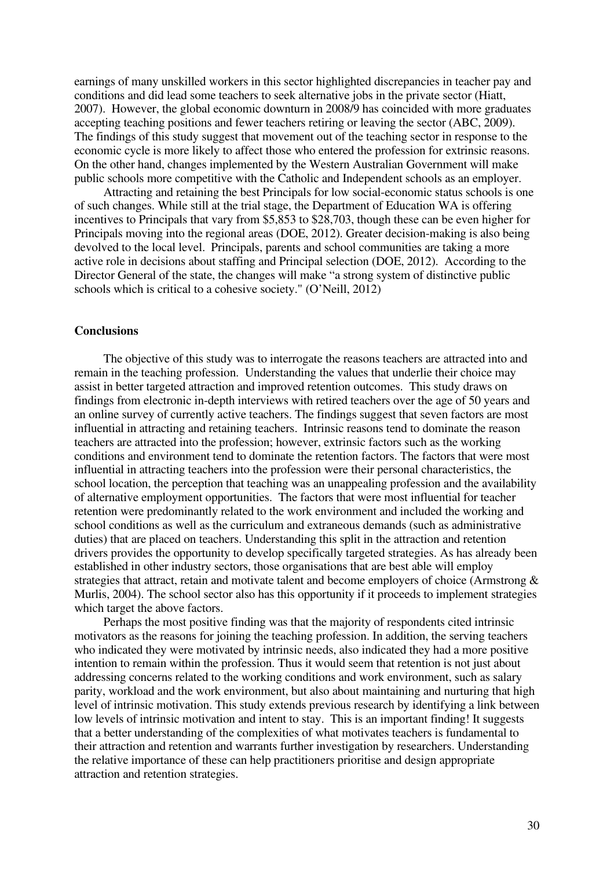earnings of many unskilled workers in this sector highlighted discrepancies in teacher pay and conditions and did lead some teachers to seek alternative jobs in the private sector (Hiatt, 2007). However, the global economic downturn in 2008/9 has coincided with more graduates accepting teaching positions and fewer teachers retiring or leaving the sector (ABC, 2009). The findings of this study suggest that movement out of the teaching sector in response to the economic cycle is more likely to affect those who entered the profession for extrinsic reasons. On the other hand, changes implemented by the Western Australian Government will make public schools more competitive with the Catholic and Independent schools as an employer.

Attracting and retaining the best Principals for low social-economic status schools is one of such changes. While still at the trial stage, the Department of Education WA is offering incentives to Principals that vary from \$5,853 to \$28,703, though these can be even higher for Principals moving into the regional areas (DOE, 2012). Greater decision-making is also being devolved to the local level. Principals, parents and school communities are taking a more active role in decisions about staffing and Principal selection (DOE, 2012). According to the Director General of the state, the changes will make "a strong system of distinctive public schools which is critical to a cohesive society." (O'Neill, 2012)

## **Conclusions**

The objective of this study was to interrogate the reasons teachers are attracted into and remain in the teaching profession. Understanding the values that underlie their choice may assist in better targeted attraction and improved retention outcomes. This study draws on findings from electronic in-depth interviews with retired teachers over the age of 50 years and an online survey of currently active teachers. The findings suggest that seven factors are most influential in attracting and retaining teachers. Intrinsic reasons tend to dominate the reason teachers are attracted into the profession; however, extrinsic factors such as the working conditions and environment tend to dominate the retention factors. The factors that were most influential in attracting teachers into the profession were their personal characteristics, the school location, the perception that teaching was an unappealing profession and the availability of alternative employment opportunities. The factors that were most influential for teacher retention were predominantly related to the work environment and included the working and school conditions as well as the curriculum and extraneous demands (such as administrative duties) that are placed on teachers. Understanding this split in the attraction and retention drivers provides the opportunity to develop specifically targeted strategies. As has already been established in other industry sectors, those organisations that are best able will employ strategies that attract, retain and motivate talent and become employers of choice (Armstrong & Murlis, 2004). The school sector also has this opportunity if it proceeds to implement strategies which target the above factors.

Perhaps the most positive finding was that the majority of respondents cited intrinsic motivators as the reasons for joining the teaching profession. In addition, the serving teachers who indicated they were motivated by intrinsic needs, also indicated they had a more positive intention to remain within the profession. Thus it would seem that retention is not just about addressing concerns related to the working conditions and work environment, such as salary parity, workload and the work environment, but also about maintaining and nurturing that high level of intrinsic motivation. This study extends previous research by identifying a link between low levels of intrinsic motivation and intent to stay. This is an important finding! It suggests that a better understanding of the complexities of what motivates teachers is fundamental to their attraction and retention and warrants further investigation by researchers. Understanding the relative importance of these can help practitioners prioritise and design appropriate attraction and retention strategies.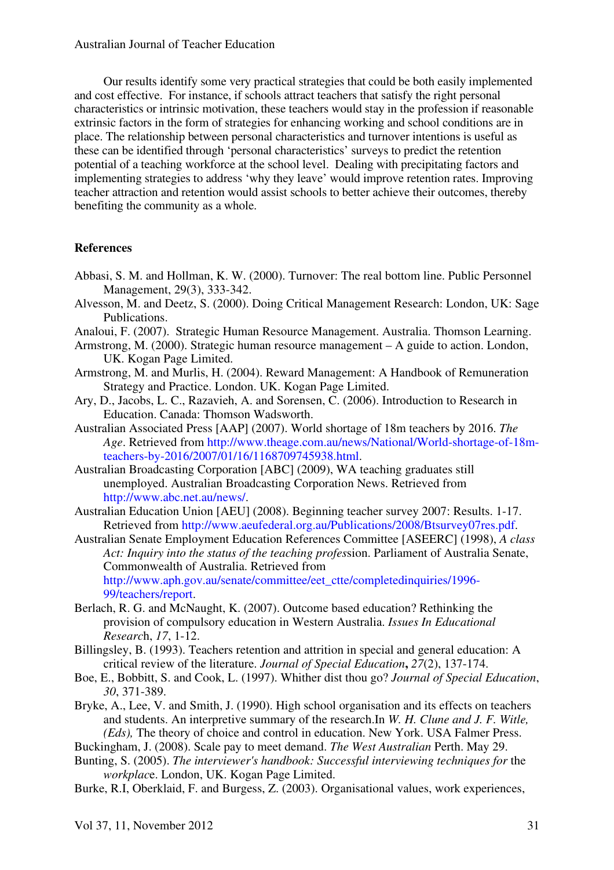Our results identify some very practical strategies that could be both easily implemented and cost effective. For instance, if schools attract teachers that satisfy the right personal characteristics or intrinsic motivation, these teachers would stay in the profession if reasonable extrinsic factors in the form of strategies for enhancing working and school conditions are in place. The relationship between personal characteristics and turnover intentions is useful as these can be identified through 'personal characteristics' surveys to predict the retention potential of a teaching workforce at the school level. Dealing with precipitating factors and implementing strategies to address 'why they leave' would improve retention rates. Improving teacher attraction and retention would assist schools to better achieve their outcomes, thereby benefiting the community as a whole.

## **References**

- Abbasi, S. M. and Hollman, K. W. (2000). Turnover: The real bottom line. Public Personnel Management, 29(3), 333-342.
- Alvesson, M. and Deetz, S. (2000). Doing Critical Management Research: London, UK: Sage Publications.
- Analoui, F. (2007). Strategic Human Resource Management. Australia. Thomson Learning.
- Armstrong, M. (2000). Strategic human resource management A guide to action. London, UK. Kogan Page Limited.
- Armstrong, M. and Murlis, H. (2004). Reward Management: A Handbook of Remuneration Strategy and Practice. London. UK. Kogan Page Limited.
- Ary, D., Jacobs, L. C., Razavieh, A. and Sorensen, C. (2006). Introduction to Research in Education. Canada: Thomson Wadsworth.
- Australian Associated Press [AAP] (2007). World shortage of 18m teachers by 2016. *The Age*. Retrieved from http://www.theage.com.au/news/National/World-shortage-of-18mteachers-by-2016/2007/01/16/1168709745938.html.
- Australian Broadcasting Corporation [ABC] (2009), WA teaching graduates still unemployed. Australian Broadcasting Corporation News. Retrieved from http://www.abc.net.au/news/.
- Australian Education Union [AEU] (2008). Beginning teacher survey 2007: Results. 1-17. Retrieved from http://www.aeufederal.org.au/Publications/2008/Btsurvey07res.pdf.
- Australian Senate Employment Education References Committee [ASEERC] (1998), *A class Act: Inquiry into the status of the teaching profes*sion. Parliament of Australia Senate, Commonwealth of Australia. Retrieved from http://www.aph.gov.au/senate/committee/eet\_ctte/completedinquiries/1996- 99/teachers/report.
- Berlach, R. G. and McNaught, K. (2007). Outcome based education? Rethinking the provision of compulsory education in Western Australia. *Issues In Educational Researc*h, *17*, 1-12.
- Billingsley, B. (1993). Teachers retention and attrition in special and general education: A critical review of the literature. *Journal of Special Education***,** *27*(2), 137-174.
- Boe, E., Bobbitt, S. and Cook, L. (1997). Whither dist thou go? *Journal of Special Education*, *30*, 371-389.
- Bryke, A., Lee, V. and Smith, J. (1990). High school organisation and its effects on teachers and students. An interpretive summary of the research.In *W. H. Clune and J. F. Witle, (Eds),* The theory of choice and control in education. New York. USA Falmer Press.
- Buckingham, J. (2008). Scale pay to meet demand. *The West Australian* Perth. May 29.
- Bunting, S. (2005). *The interviewer's handbook: Successful interviewing techniques for* the *workplac*e. London, UK. Kogan Page Limited.
- Burke, R.I, Oberklaid, F. and Burgess, Z. (2003). Organisational values, work experiences,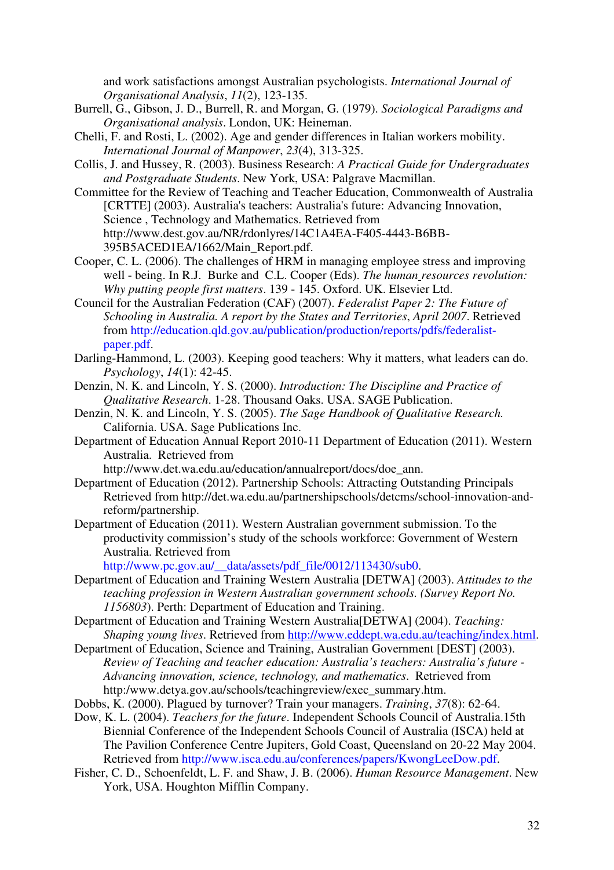and work satisfactions amongst Australian psychologists. *International Journal of Organisational Analysis*, *11*(2), 123-135.

- Burrell, G., Gibson, J. D., Burrell, R. and Morgan, G. (1979). *Sociological Paradigms and Organisational analysis*. London, UK: Heineman.
- Chelli, F. and Rosti, L. (2002). Age and gender differences in Italian workers mobility. *International Journal of Manpower*, *23*(4), 313-325.
- Collis, J. and Hussey, R. (2003). Business Research: *A Practical Guide for Undergraduates and Postgraduate Students*. New York, USA: Palgrave Macmillan.
- Committee for the Review of Teaching and Teacher Education, Commonwealth of Australia [CRTTE] (2003). Australia's teachers: Australia's future: Advancing Innovation, Science , Technology and Mathematics. Retrieved from http://www.dest.gov.au/NR/rdonlyres/14C1A4EA-F405-4443-B6BB-395B5ACED1EA/1662/Main\_Report.pdf.
- Cooper, C. L. (2006). The challenges of HRM in managing employee stress and improving well - being. In R.J. Burke and C.L. Cooper (Eds). *The human resources revolution: Why putting people first matters*. 139 - 145. Oxford. UK. Elsevier Ltd.
- Council for the Australian Federation (CAF) (2007). *Federalist Paper 2: The Future of Schooling in Australia. A report by the States and Territories*, *April 2007*. Retrieved from http://education.qld.gov.au/publication/production/reports/pdfs/federalistpaper.pdf.
- Darling-Hammond, L. (2003). Keeping good teachers: Why it matters, what leaders can do. *Psychology*, *14*(1): 42-45.
- Denzin, N. K. and Lincoln, Y. S. (2000). *Introduction: The Discipline and Practice of Qualitative Research*. 1-28. Thousand Oaks. USA. SAGE Publication.
- Denzin, N. K. and Lincoln, Y. S. (2005). *The Sage Handbook of Qualitative Research.* California. USA. Sage Publications Inc.
- Department of Education Annual Report 2010-11 Department of Education (2011). Western Australia. Retrieved from
	- http://www.det.wa.edu.au/education/annualreport/docs/doe\_ann.
- Department of Education (2012). Partnership Schools: Attracting Outstanding Principals Retrieved from http://det.wa.edu.au/partnershipschools/detcms/school-innovation-andreform/partnership.
- Department of Education (2011). Western Australian government submission. To the productivity commission's study of the schools workforce: Government of Western Australia. Retrieved from

http://www.pc.gov.au/\_\_data/assets/pdf\_file/0012/113430/sub0.

- Department of Education and Training Western Australia [DETWA] (2003). *Attitudes to the teaching profession in Western Australian government schools. (Survey Report No. 1156803*). Perth: Department of Education and Training.
- Department of Education and Training Western Australia[DETWA] (2004). *Teaching: Shaping young lives*. Retrieved from http://www.eddept.wa.edu.au/teaching/index.html.
- Department of Education, Science and Training, Australian Government [DEST] (2003). *Review of Teaching and teacher education: Australia's teachers: Australia's future - Advancing innovation, science, technology, and mathematics*. Retrieved from http:/www.detya.gov.au/schools/teachingreview/exec\_summary.htm.
- Dobbs, K. (2000). Plagued by turnover? Train your managers. *Training*, *37*(8): 62-64.
- Dow, K. L. (2004). *Teachers for the future*. Independent Schools Council of Australia.15th Biennial Conference of the Independent Schools Council of Australia (ISCA) held at The Pavilion Conference Centre Jupiters, Gold Coast, Queensland on 20-22 May 2004. Retrieved from http://www.isca.edu.au/conferences/papers/KwongLeeDow.pdf.
- Fisher, C. D., Schoenfeldt, L. F. and Shaw, J. B. (2006). *Human Resource Management*. New York, USA. Houghton Mifflin Company.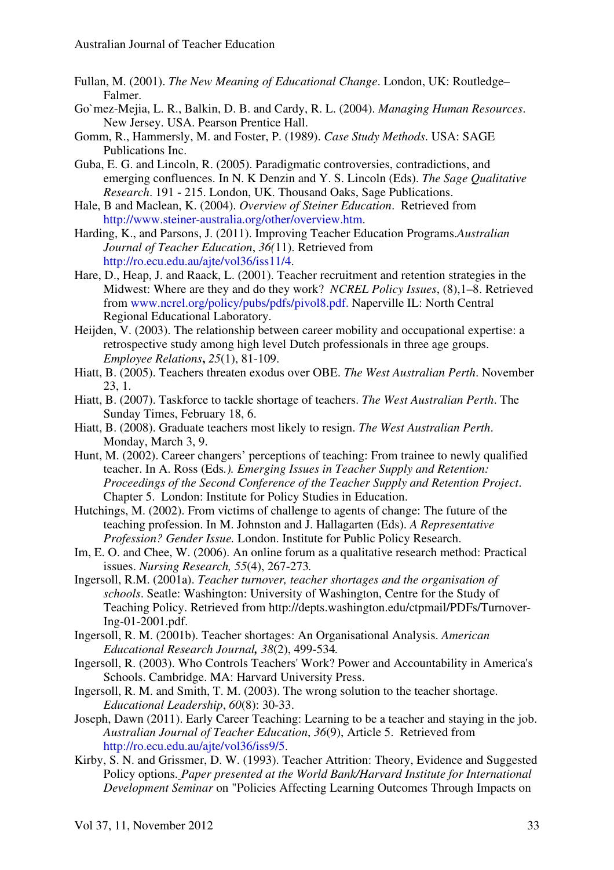- Fullan, M. (2001). *The New Meaning of Educational Change*. London, UK: Routledge– Falmer.
- Go`mez-Mejia, L. R., Balkin, D. B. and Cardy, R. L. (2004). *Managing Human Resources*. New Jersey. USA. Pearson Prentice Hall.
- Gomm, R., Hammersly, M. and Foster, P. (1989). *Case Study Methods*. USA: SAGE Publications Inc.
- Guba, E. G. and Lincoln, R. (2005). Paradigmatic controversies, contradictions, and emerging confluences. In N. K Denzin and Y. S. Lincoln (Eds). *The Sage Qualitative Research*. 191 - 215. London, UK. Thousand Oaks, Sage Publications.
- Hale, B and Maclean, K. (2004). *Overview of Steiner Education*. Retrieved from http://www.steiner-australia.org/other/overview.htm.
- Harding, K., and Parsons, J. (2011). Improving Teacher Education Programs.*Australian Journal of Teacher Education*, *36(*11). Retrieved from http://ro.ecu.edu.au/ajte/vol36/iss11/4.
- Hare, D., Heap, J. and Raack, L. (2001). Teacher recruitment and retention strategies in the Midwest: Where are they and do they work? *NCREL Policy Issues*, (8),1–8. Retrieved from www.ncrel.org/policy/pubs/pdfs/pivol8.pdf. Naperville IL: North Central Regional Educational Laboratory.
- Heijden, V. (2003). The relationship between career mobility and occupational expertise: a retrospective study among high level Dutch professionals in three age groups. *Employee Relations***,** *25*(1), 81-109.
- Hiatt, B. (2005). Teachers threaten exodus over OBE. *The West Australian Perth*. November 23, 1.
- Hiatt, B. (2007). Taskforce to tackle shortage of teachers. *The West Australian Perth*. The Sunday Times, February 18, 6.
- Hiatt, B. (2008). Graduate teachers most likely to resign. *The West Australian Perth*. Monday, March 3, 9.
- Hunt, M. (2002). Career changers' perceptions of teaching: From trainee to newly qualified teacher. In A. Ross (Eds*.). Emerging Issues in Teacher Supply and Retention: Proceedings of the Second Conference of the Teacher Supply and Retention Project*. Chapter 5. London: Institute for Policy Studies in Education.
- Hutchings, M. (2002). From victims of challenge to agents of change: The future of the teaching profession. In M. Johnston and J. Hallagarten (Eds). *A Representative Profession? Gender Issue.* London. Institute for Public Policy Research.
- Im, E. O. and Chee, W. (2006). An online forum as a qualitative research method: Practical issues. *Nursing Research, 55*(4), 267-273*.*
- Ingersoll, R.M. (2001a). *Teacher turnover, teacher shortages and the organisation of schools*. Seatle: Washington: University of Washington, Centre for the Study of Teaching Policy. Retrieved from http://depts.washington.edu/ctpmail/PDFs/Turnover-Ing-01-2001.pdf.
- Ingersoll, R. M. (2001b). Teacher shortages: An Organisational Analysis. *American Educational Research Journal, 38*(2), 499-534*.*
- Ingersoll, R. (2003). Who Controls Teachers' Work? Power and Accountability in America's Schools. Cambridge. MA: Harvard University Press.
- Ingersoll, R. M. and Smith, T. M. (2003). The wrong solution to the teacher shortage. *Educational Leadership*, *60*(8): 30-33.
- Joseph, Dawn (2011). Early Career Teaching: Learning to be a teacher and staying in the job. *Australian Journal of Teacher Education*, *36*(9), Article 5. Retrieved from http://ro.ecu.edu.au/ajte/vol36/iss9/5.
- Kirby, S. N. and Grissmer, D. W. (1993). Teacher Attrition: Theory, Evidence and Suggested Policy options. *Paper presented at the World Bank/Harvard Institute for International Development Seminar* on "Policies Affecting Learning Outcomes Through Impacts on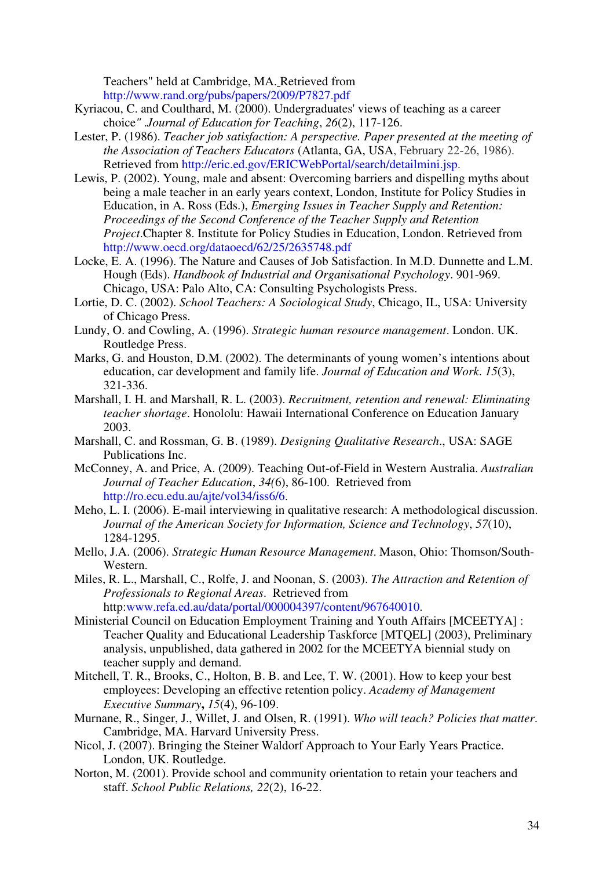Teachers" held at Cambridge, MA. Retrieved from http://www.rand.org/pubs/papers/2009/P7827.pdf

- Kyriacou, C. and Coulthard, M. (2000). Undergraduates' views of teaching as a career choice*"* .*Journal of Education for Teaching*, *26*(2), 117-126.
- Lester, P. (1986). *Teacher job satisfaction: A perspective. Paper presented at the meeting of the Association of Teachers Educators* (Atlanta, GA, USA, February 22-26, 1986). Retrieved from http://eric.ed.gov/ERICWebPortal/search/detailmini.jsp.
- Lewis, P. (2002). Young, male and absent: Overcoming barriers and dispelling myths about being a male teacher in an early years context, London, Institute for Policy Studies in Education, in A. Ross (Eds.), *Emerging Issues in Teacher Supply and Retention: Proceedings of the Second Conference of the Teacher Supply and Retention Project*.Chapter 8. Institute for Policy Studies in Education, London. Retrieved from http://www.oecd.org/dataoecd/62/25/2635748.pdf
- Locke, E. A. (1996). The Nature and Causes of Job Satisfaction. In M.D. Dunnette and L.M. Hough (Eds). *Handbook of Industrial and Organisational Psychology*. 901-969. Chicago, USA: Palo Alto, CA: Consulting Psychologists Press.
- Lortie, D. C. (2002). *School Teachers: A Sociological Study*, Chicago, IL, USA: University of Chicago Press.
- Lundy, O. and Cowling, A. (1996). *Strategic human resource management*. London. UK. Routledge Press.
- Marks, G. and Houston, D.M. (2002). The determinants of young women's intentions about education, car development and family life. *Journal of Education and Work*. *15*(3), 321-336.
- Marshall, I. H. and Marshall, R. L. (2003). *Recruitment, retention and renewal: Eliminating teacher shortage*. Honololu: Hawaii International Conference on Education January 2003.
- Marshall, C. and Rossman, G. B. (1989). *Designing Qualitative Research*., USA: SAGE Publications Inc.
- McConney, A. and Price, A. (2009). Teaching Out-of-Field in Western Australia. *Australian Journal of Teacher Education*, *34(*6), 86-100. Retrieved from http://ro.ecu.edu.au/ajte/vol34/iss6/6.
- Meho, L. I. (2006). E-mail interviewing in qualitative research: A methodological discussion. *Journal of the American Society for Information, Science and Technology*, *57*(10), 1284-1295.
- Mello, J.A. (2006). *Strategic Human Resource Management*. Mason, Ohio: Thomson/South-Western.
- Miles, R. L., Marshall, C., Rolfe, J. and Noonan, S. (2003). *The Attraction and Retention of Professionals to Regional Areas*. Retrieved from http:www.refa.ed.au/data/portal/000004397/content/967640010.
- Ministerial Council on Education Employment Training and Youth Affairs [MCEETYA] : Teacher Quality and Educational Leadership Taskforce [MTQEL] (2003), Preliminary analysis, unpublished, data gathered in 2002 for the MCEETYA biennial study on teacher supply and demand.
- Mitchell, T. R., Brooks, C., Holton, B. B. and Lee, T. W. (2001). How to keep your best employees: Developing an effective retention policy. *Academy of Management Executive Summary***,** *15*(4), 96-109.
- Murnane, R., Singer, J., Willet, J. and Olsen, R. (1991). *Who will teach? Policies that matter*. Cambridge, MA. Harvard University Press.
- Nicol, J. (2007). Bringing the Steiner Waldorf Approach to Your Early Years Practice. London, UK. Routledge.
- Norton, M. (2001). Provide school and community orientation to retain your teachers and staff. *School Public Relations, 22*(2), 16-22.